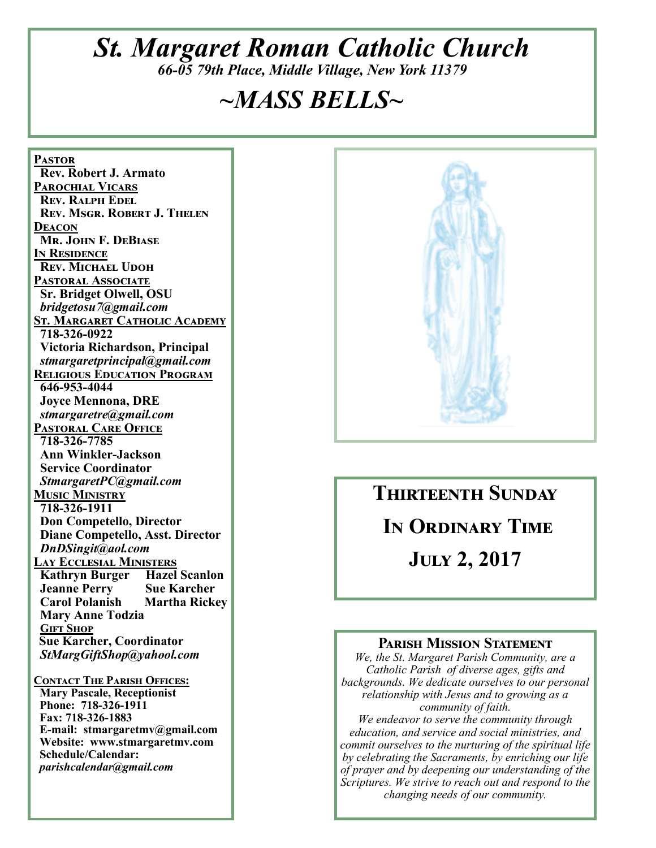# *St. Margaret Roman Catholic Church*

*66-05 79th Place, Middle Village, New York 11379* 

# *~MASS BELLS~*

<u>PASTOR</u>  **Rev. Robert J. Armato PAROCHIAL VICARS REV. RALPH EDEL REV. MSGR. ROBERT J. THELEN** <u>DEACON</u> **MR. JOHN F. DEBIASE IN RESIDENCE REV. MICHAEL UDOH** PASTORAL ASSOCIATE  **Sr. Bridget Olwell, OSU**   *bridgetosu7@gmail.com*  **ST. MARGARET CATHOLIC ACADEMY 718-326-0922 Victoria Richardson, Principal**   *stmargaretprincipal@gmail.com*  **RELIGIOUS EDUCATION PROGRAM 646-953-4044 Joyce Mennona, DRE** *stmargaretre@gmail.com*  **PASTORAL CARE OFFICE 718-326-7785 Ann Winkler-Jackson Service Coordinator** *StmargaretPC@gmail.com*  **Music Ministry 718-326-1911 Don Competello, Director Diane Competello, Asst. Director** *DnDSingit@aol.com*  <u>LAY ECCLESIAL MINISTERS</u>  **Kathryn Burger Hazel Scanlon**  *Sue Karcher*<br> **Carol Polanish Martha Rickey Carol Polanish Mary Anne Todzia GIFT SHOP Sue Karcher, Coordinator** *StMargGiftShop@yahool.com*  **CONTACT THE PARISH OFFICES: Mary Pascale, Receptionist Phone: 718-326-1911 Fax: 718-326-1883 E-mail: stmargaretmv@gmail.com Website: www.stmargaretmv.com Schedule/Calendar:** *parishcalendar@gmail.com*



**THIRTEENTH SUNDAY** IN ORDINARY TIME **JULY 2, 2017** 

#### **PARISH MISSION STATEMENT**

*We, the St. Margaret Parish Community, are a Catholic Parish of diverse ages, gifts and backgrounds. We dedicate ourselves to our personal relationship with Jesus and to growing as a community of faith. We endeavor to serve the community through* 

*education, and service and social ministries, and commit ourselves to the nurturing of the spiritual life by celebrating the Sacraments, by enriching our life of prayer and by deepening our understanding of the Scriptures. We strive to reach out and respond to the changing needs of our community.*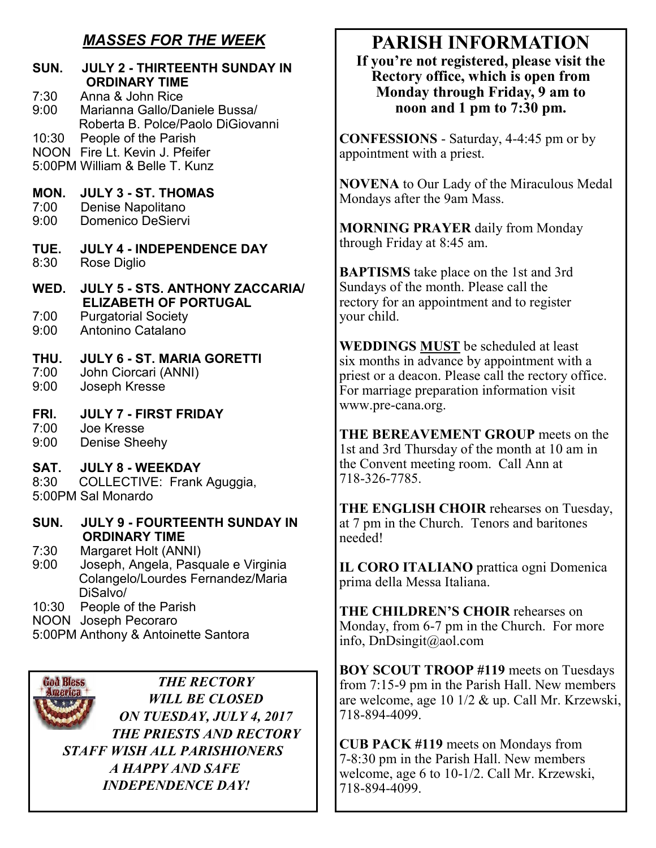# *MASSES FOR THE WEEK*

| <b>SUN.</b>          | <b>JULY 2 - THIRTEENTH SUNDAY IN</b><br><b>ORDINARY TIME</b>                                                 |
|----------------------|--------------------------------------------------------------------------------------------------------------|
| 7:30<br>9:00         | Anna & John Rice<br>Marianna Gallo/Daniele Bussa/<br>Roberta B. Polce/Paolo DiGiovanni                       |
|                      | 10:30 People of the Parish<br>NOON Fire Lt. Kevin J. Pfeifer<br>5:00PM William & Belle T. Kunz               |
| MON.<br>7:00<br>9:00 | <b>JULY 3 - ST. THOMAS</b><br>Denise Napolitano<br><b>Domenico DeSiervi</b>                                  |
| TUE.<br>8:30         | <b>JULY 4 - INDEPENDENCE DAY</b><br>Rose Diglio                                                              |
| WED.                 | <b>JULY 5 - STS, ANTHONY ZACCARIA/</b>                                                                       |
| 7:00<br>9:00         | <b>ELIZABETH OF PORTUGAL</b><br><b>Purgatorial Society</b><br>Antonino Catalano                              |
| THU.<br>7:00<br>9:00 | <b>JULY 6 - ST. MARIA GORETTI</b><br>John Ciorcari (ANNI)<br>Joseph Kresse                                   |
| FRI.<br>7:00<br>9:00 | <b>JULY 7 - FIRST FRIDAY</b><br>Joe Kresse<br><b>Denise Sheehy</b>                                           |
|                      | SAT. JULY 8 - WEEKDAY<br>8:30 COLLECTIVE: Frank Aguggia,<br>5:00PM Sal Monardo                               |
| SUN.                 | JULY 9 - FOURTEENTH SUNDAY IN<br><b>ORDINARY TIME</b>                                                        |
| 7:30<br>9:00         | Margaret Holt (ANNI)<br>Joseph, Angela, Pasquale e Virginia<br>Colangelo/Lourdes Fernandez/Maria<br>DiSalvo/ |
| 10:30<br><b>NOON</b> | People of the Parish<br>Joseph Pecoraro                                                                      |

5:00PM Anthony & Antoinette Santora

**God Bless** *THE RECTORY*  America *WILL BE CLOSED ON TUESDAY, JULY 4, 2017 THE PRIESTS AND RECTORY STAFF WISH ALL PARISHIONERS A HAPPY AND SAFE INDEPENDENCE DAY!* 

# **PARISH INFORMATION**

**If you're not registered, please visit the Rectory office, which is open from Monday through Friday, 9 am to noon and 1 pm to 7:30 pm.** 

**CONFESSIONS** - Saturday, 4-4:45 pm or by appointment with a priest.

**NOVENA** to Our Lady of the Miraculous Medal Mondays after the 9am Mass.

**MORNING PRAYER** daily from Monday through Friday at 8:45 am.

**BAPTISMS** take place on the 1st and 3rd Sundays of the month. Please call the rectory for an appointment and to register your child.

**WEDDINGS MUST** be scheduled at least six months in advance by appointment with a priest or a deacon. Please call the rectory office. For marriage preparation information visit www.pre-cana.org.

**THE BEREAVEMENT GROUP** meets on the 1st and 3rd Thursday of the month at 10 am in the Convent meeting room. Call Ann at 718-326-7785.

**THE ENGLISH CHOIR** rehearses on Tuesday, at 7 pm in the Church. Tenors and baritones needed!

**IL CORO ITALIANO** prattica ogni Domenica prima della Messa Italiana.

**THE CHILDREN'S CHOIR** rehearses on Monday, from 6-7 pm in the Church. For more info, DnDsingit@aol.com

**BOY SCOUT TROOP #119** meets on Tuesdays from 7:15-9 pm in the Parish Hall. New members are welcome, age 10 1/2 & up. Call Mr. Krzewski, 718-894-4099.

**CUB PACK #119** meets on Mondays from 7-8:30 pm in the Parish Hall. New members welcome, age 6 to 10-1/2. Call Mr. Krzewski, 718-894-4099.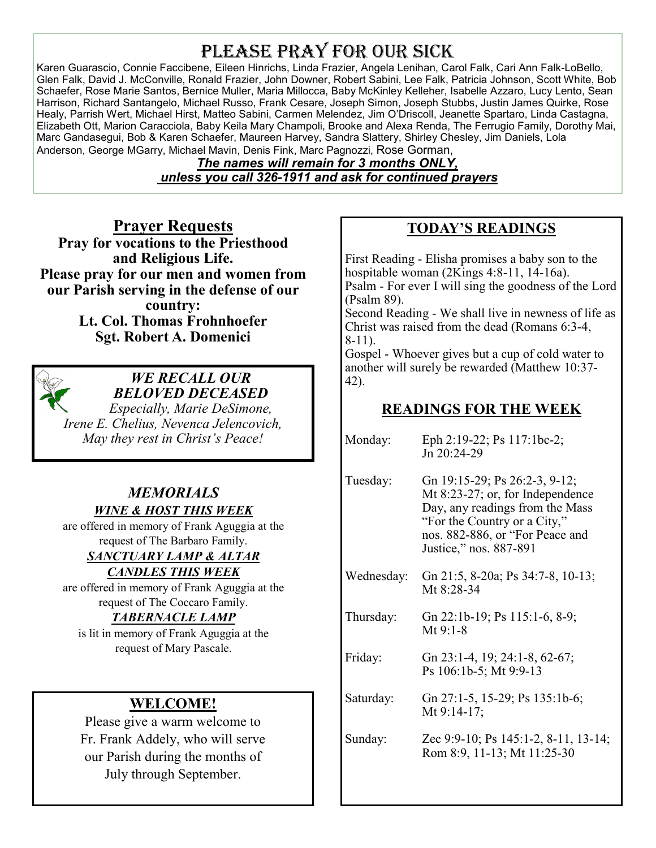# PLEASE PRAY FOR OUR SICK

Karen Guarascio, Connie Faccibene, Eileen Hinrichs, Linda Frazier, Angela Lenihan, Carol Falk, Cari Ann Falk-LoBello, Glen Falk, David J. McConville, Ronald Frazier, John Downer, Robert Sabini, Lee Falk, Patricia Johnson, Scott White, Bob Schaefer, Rose Marie Santos, Bernice Muller, Maria Millocca, Baby McKinley Kelleher, Isabelle Azzaro, Lucy Lento, Sean Harrison, Richard Santangelo, Michael Russo, Frank Cesare, Joseph Simon, Joseph Stubbs, Justin James Quirke, Rose Healy, Parrish Wert, Michael Hirst, Matteo Sabini, Carmen Melendez, Jim O'Driscoll, Jeanette Spartaro, Linda Castagna, Elizabeth Ott, Marion Caracciola, Baby Keila Mary Champoli, Brooke and Alexa Renda, The Ferrugio Family, Dorothy Mai, Marc Gandasegui, Bob & Karen Schaefer, Maureen Harvey, Sandra Slattery, Shirley Chesley, Jim Daniels, Lola Anderson, George MGarry, Michael Mavin, Denis Fink, Marc Pagnozzi, Rose Gorman,

> *The names will remain for 3 months ONLY, unless you call 326-1911 and ask for continued prayers*

**Prayer Requests Pray for vocations to the Priesthood and Religious Life. Please pray for our men and women from our Parish serving in the defense of our country: Lt. Col. Thomas Frohnhoefer Sgt. Robert A. Domenici** 



#### *WE RECALL OUR BELOVED DECEASED*

*Especially, Marie DeSimone, Irene E. Chelius, Nevenca Jelencovich, May they rest in Christ's Peace!*

#### *MEMORIALS WINE & HOST THIS WEEK*

are offered in memory of Frank Aguggia at the request of The Barbaro Family.

# *SANCTUARY LAMP & ALTAR*

#### *CANDLES THIS WEEK*

are offered in memory of Frank Aguggia at the request of The Coccaro Family.

### *TABERNACLE LAMP*

is lit in memory of Frank Aguggia at the request of Mary Pascale.

## **WELCOME!**

Please give a warm welcome to Fr. Frank Addely, who will serve our Parish during the months of July through September.

# **TODAY'S READINGS**

First Reading - Elisha promises a baby son to the hospitable woman (2Kings 4:8-11, 14-16a). Psalm - For ever I will sing the goodness of the Lord (Psalm 89). Second Reading - We shall live in newness of life as Christ was raised from the dead (Romans 6:3-4, 8-11).

Gospel - Whoever gives but a cup of cold water to another will surely be rewarded (Matthew 10:37- 42).

## **READINGS FOR THE WEEK**

| Monday:    | Eph 2:19-22; Ps 117:1bc-2;<br>Jn 20:24-29                                                                                                                                                         |  |  |
|------------|---------------------------------------------------------------------------------------------------------------------------------------------------------------------------------------------------|--|--|
| Tuesday:   | Gn 19:15-29; Ps 26:2-3, 9-12;<br>Mt 8:23-27; or, for Independence<br>Day, any readings from the Mass<br>"For the Country or a City,"<br>nos. 882-886, or "For Peace and<br>Justice," nos. 887-891 |  |  |
| Wednesday: | Gn 21:5, 8-20a; Ps 34:7-8, 10-13;<br>Mt 8:28-34                                                                                                                                                   |  |  |
| Thursday:  | Gn 22:1b-19; Ps 115:1-6, 8-9;<br>$Mt$ 9:1-8                                                                                                                                                       |  |  |
| Friday:    | Gn 23:1-4, 19; 24:1-8, 62-67;<br>Ps 106:1b-5; Mt 9:9-13                                                                                                                                           |  |  |
| Saturday:  | Gn 27:1-5, 15-29; Ps 135:1b-6;<br>Mt $9:14-17$ ;                                                                                                                                                  |  |  |
| Sunday:    | Zec 9:9-10; Ps 145:1-2, 8-11, 13-14;<br>Rom 8:9, 11-13; Mt 11:25-30                                                                                                                               |  |  |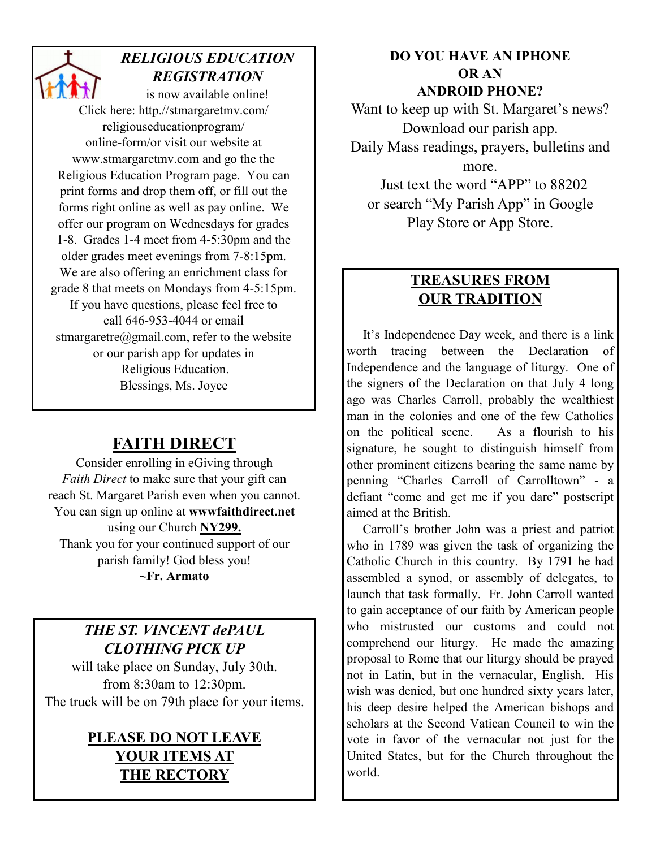# *RELIGIOUS EDUCATION REGISTRATION*

is now available online! Click here: http.//stmargaretmv.com/ religiouseducationprogram/ online-form/or visit our website at www.stmargaretmv.com and go the the Religious Education Program page. You can print forms and drop them off, or fill out the forms right online as well as pay online. We offer our program on Wednesdays for grades 1-8. Grades 1-4 meet from 4-5:30pm and the older grades meet evenings from 7-8:15pm. We are also offering an enrichment class for grade 8 that meets on Mondays from 4-5:15pm. If you have questions, please feel free to call 646-953-4044 or email stmargaretre@gmail.com, refer to the website or our parish app for updates in Religious Education. Blessings, Ms. Joyce

# **FAITH DIRECT**

Consider enrolling in eGiving through *Faith Direct* to make sure that your gift can reach St. Margaret Parish even when you cannot. You can sign up online at **wwwfaithdirect.net**  using our Church **NY299.**  Thank you for your continued support of our parish family! God bless you! **~Fr. Armato**

# *THE ST. VINCENT dePAUL CLOTHING PICK UP*

will take place on Sunday, July 30th. from 8:30am to 12:30pm. The truck will be on 79th place for your items.

# **PLEASE DO NOT LEAVE YOUR ITEMS AT THE RECTORY**

**DO YOU HAVE AN IPHONE OR AN ANDROID PHONE?** 

Want to keep up with St. Margaret's news? Download our parish app. Daily Mass readings, prayers, bulletins and more. Just text the word "APP" to 88202

or search "My Parish App" in Google Play Store or App Store.

# **TREASURES FROM OUR TRADITION**

 It's Independence Day week, and there is a link worth tracing between the Declaration of Independence and the language of liturgy. One of the signers of the Declaration on that July 4 long ago was Charles Carroll, probably the wealthiest man in the colonies and one of the few Catholics on the political scene. As a flourish to his signature, he sought to distinguish himself from other prominent citizens bearing the same name by penning "Charles Carroll of Carrolltown" - a defiant "come and get me if you dare" postscript aimed at the British.

 Carroll's brother John was a priest and patriot who in 1789 was given the task of organizing the Catholic Church in this country. By 1791 he had assembled a synod, or assembly of delegates, to launch that task formally. Fr. John Carroll wanted to gain acceptance of our faith by American people who mistrusted our customs and could not comprehend our liturgy. He made the amazing proposal to Rome that our liturgy should be prayed not in Latin, but in the vernacular, English. His wish was denied, but one hundred sixty years later, his deep desire helped the American bishops and scholars at the Second Vatican Council to win the vote in favor of the vernacular not just for the United States, but for the Church throughout the world.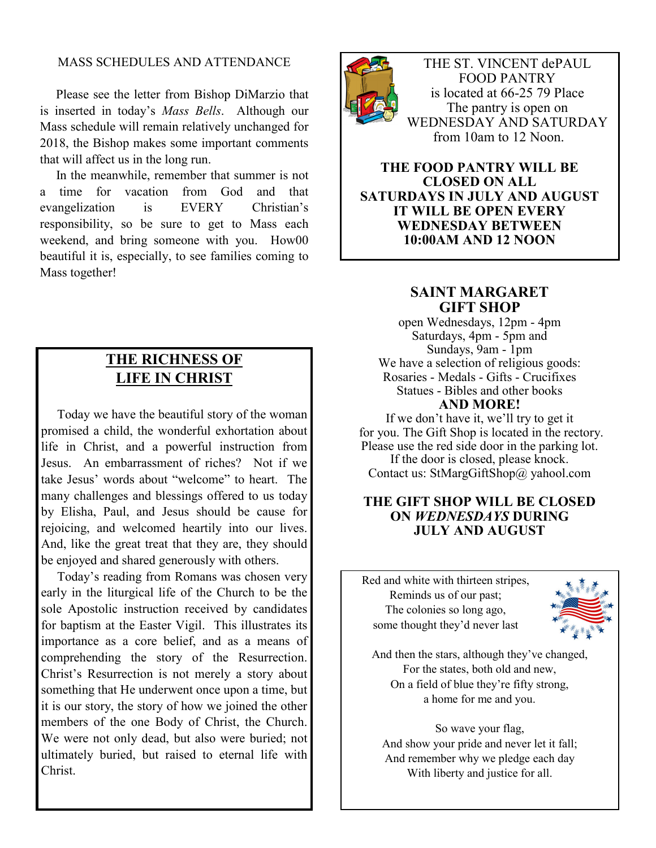#### MASS SCHEDULES AND ATTENDANCE

 Please see the letter from Bishop DiMarzio that is inserted in today's *Mass Bells*. Although our Mass schedule will remain relatively unchanged for 2018, the Bishop makes some important comments that will affect us in the long run.

 In the meanwhile, remember that summer is not a time for vacation from God and that evangelization is EVERY Christian's responsibility, so be sure to get to Mass each weekend, and bring someone with you. How00 beautiful it is, especially, to see families coming to Mass together!

### **THE RICHNESS OF LIFE IN CHRIST**

 Today we have the beautiful story of the woman promised a child, the wonderful exhortation about life in Christ, and a powerful instruction from Jesus. An embarrassment of riches? Not if we take Jesus' words about "welcome" to heart. The many challenges and blessings offered to us today by Elisha, Paul, and Jesus should be cause for rejoicing, and welcomed heartily into our lives. And, like the great treat that they are, they should be enjoyed and shared generously with others.

 Today's reading from Romans was chosen very early in the liturgical life of the Church to be the sole Apostolic instruction received by candidates for baptism at the Easter Vigil. This illustrates its importance as a core belief, and as a means of comprehending the story of the Resurrection. Christ's Resurrection is not merely a story about something that He underwent once upon a time, but it is our story, the story of how we joined the other members of the one Body of Christ, the Church. We were not only dead, but also were buried; not ultimately buried, but raised to eternal life with Christ.



THE ST. VINCENT dePAUL FOOD PANTRY is located at 66-25 79 Place The pantry is open on WEDNESDAY AND SATURDAY from 10am to 12 Noon.

#### **THE FOOD PANTRY WILL BE CLOSED ON ALL SATURDAYS IN JULY AND AUGUST IT WILL BE OPEN EVERY WEDNESDAY BETWEEN 10:00AM AND 12 NOON**

#### **SAINT MARGARET GIFT SHOP**

open Wednesdays, 12pm - 4pm Saturdays, 4pm - 5pm and Sundays, 9am - 1pm We have a selection of religious goods: Rosaries - Medals - Gifts - Crucifixes Statues - Bibles and other books **AND MORE!** 

If we don't have it, we'll try to get it for you. The Gift Shop is located in the rectory. Please use the red side door in the parking lot. If the door is closed, please knock. Contact us: StMargGiftShop@ yahool.com

#### **THE GIFT SHOP WILL BE CLOSED ON** *WEDNESDAYS* **DURING JULY AND AUGUST**

Red and white with thirteen stripes, Reminds us of our past; The colonies so long ago, some thought they'd never last



And then the stars, although they've changed, For the states, both old and new, On a field of blue they're fifty strong, a home for me and you.

So wave your flag, And show your pride and never let it fall; And remember why we pledge each day With liberty and justice for all.